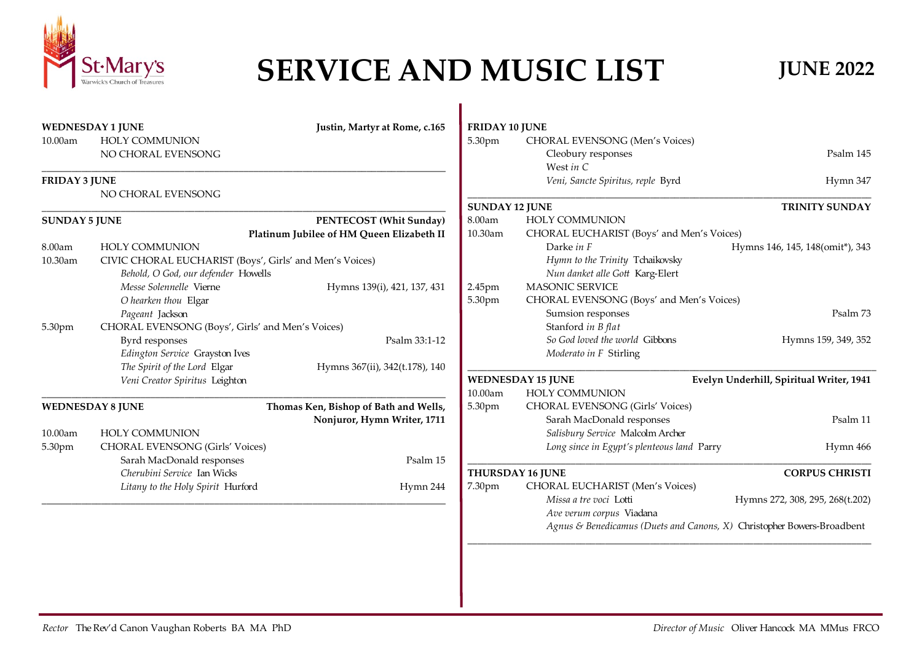

## **SERVICE AND MUSIC LIST JUNE 2022**

|                                          |                                                                        | <b>FRIDAY 10 JUNE</b><br>Justin, Martyr at Rome, c.165 |                                                 | <b>WEDNESDAY 1 JUNE</b>                                 |                      |  |
|------------------------------------------|------------------------------------------------------------------------|--------------------------------------------------------|-------------------------------------------------|---------------------------------------------------------|----------------------|--|
|                                          | <b>CHORAL EVENSONG (Men's Voices)</b>                                  | 5.30pm                                                 |                                                 | <b>HOLY COMMUNION</b>                                   | 10.00am              |  |
| Psalm 145                                | Cleobury responses                                                     |                                                        |                                                 | NO CHORAL EVENSONG                                      |                      |  |
|                                          | West in $C$                                                            |                                                        |                                                 |                                                         |                      |  |
| Hymn 347                                 | Veni, Sancte Spiritus, reple Byrd                                      |                                                        |                                                 |                                                         | <b>FRIDAY 3 JUNE</b> |  |
| <b>TRINITY SUNDAY</b>                    |                                                                        | <b>SUNDAY 12 JUNE</b>                                  |                                                 | NO CHORAL EVENSONG                                      |                      |  |
|                                          | <b>HOLY COMMUNION</b>                                                  | 8.00am                                                 | PENTECOST (Whit Sunday)<br><b>SUNDAY 5 JUNE</b> |                                                         |                      |  |
|                                          | CHORAL EUCHARIST (Boys' and Men's Voices)                              | 10.30am                                                | Platinum Jubilee of HM Queen Elizabeth II       |                                                         |                      |  |
| Hymns 146, 145, 148(omit*), 343          | Darke in F                                                             |                                                        |                                                 | <b>HOLY COMMUNION</b>                                   | 8.00am               |  |
|                                          | Hymn to the Trinity Tchaikovsky                                        |                                                        |                                                 | CIVIC CHORAL EUCHARIST (Boys', Girls' and Men's Voices) | 10.30am              |  |
|                                          | Nun danket alle Gott Karg-Elert                                        |                                                        |                                                 | Behold, O God, our defender Howells                     |                      |  |
|                                          | <b>MASONIC SERVICE</b>                                                 | Hymns 139(i), 421, 137, 431<br>2.45pm                  |                                                 | Messe Solennelle Vierne                                 |                      |  |
|                                          | CHORAL EVENSONG (Boys' and Men's Voices)                               | 5.30pm                                                 |                                                 | O hearken thou Elgar                                    |                      |  |
| Psalm 73                                 | Sumsion responses                                                      |                                                        |                                                 | Pageant Jackson                                         |                      |  |
|                                          | Stanford in B flat                                                     |                                                        |                                                 | CHORAL EVENSONG (Boys', Girls' and Men's Voices)        | 5.30pm               |  |
| Hymns 159, 349, 352                      | So God loved the world Gibbons                                         | Psalm 33:1-12                                          |                                                 | Byrd responses                                          |                      |  |
|                                          | Moderato in F Stirling                                                 |                                                        |                                                 | Edington Service Grayston Ives                          |                      |  |
|                                          |                                                                        |                                                        | Hymns 367(ii), 342(t.178), 140                  | The Spirit of the Lord Elgar                            |                      |  |
| Evelyn Underhill, Spiritual Writer, 1941 | <b>WEDNESDAY 15 JUNE</b>                                               |                                                        |                                                 | Veni Creator Spiritus Leighton                          |                      |  |
|                                          | <b>HOLY COMMUNION</b>                                                  | 10.00am                                                |                                                 |                                                         |                      |  |
|                                          | <b>CHORAL EVENSONG (Girls' Voices)</b>                                 | 5.30pm                                                 | Thomas Ken, Bishop of Bath and Wells,           | <b>WEDNESDAY 8 JUNE</b>                                 |                      |  |
| Psalm 11                                 | Sarah MacDonald responses                                              | Nonjuror, Hymn Writer, 1711                            |                                                 |                                                         |                      |  |
|                                          | Salisbury Service Malcolm Archer                                       |                                                        |                                                 | <b>HOLY COMMUNION</b>                                   | 10.00am              |  |
| Hymn 466                                 | Long since in Egypt's plenteous land Parry                             |                                                        |                                                 | <b>CHORAL EVENSONG (Girls' Voices)</b>                  | 5.30pm               |  |
|                                          |                                                                        | Psalm 15                                               |                                                 | Sarah MacDonald responses                               |                      |  |
| <b>CORPUS CHRISTI</b>                    | THURSDAY 16 JUNE                                                       |                                                        |                                                 | Cherubini Service Ian Wicks                             |                      |  |
|                                          | CHORAL EUCHARIST (Men's Voices)                                        | 7.30pm<br>Hymn 244                                     |                                                 | Litany to the Holy Spirit Hurford                       |                      |  |
| Hymns 272, 308, 295, 268(t.202)          | Missa a tre voci Lotti                                                 |                                                        |                                                 |                                                         |                      |  |
|                                          | Ave verum corpus Viadana                                               |                                                        |                                                 |                                                         |                      |  |
|                                          | Agnus & Benedicamus (Duets and Canons, X) Christopher Bowers-Broadbent |                                                        |                                                 |                                                         |                      |  |
|                                          |                                                                        |                                                        |                                                 |                                                         |                      |  |
|                                          |                                                                        |                                                        |                                                 |                                                         |                      |  |